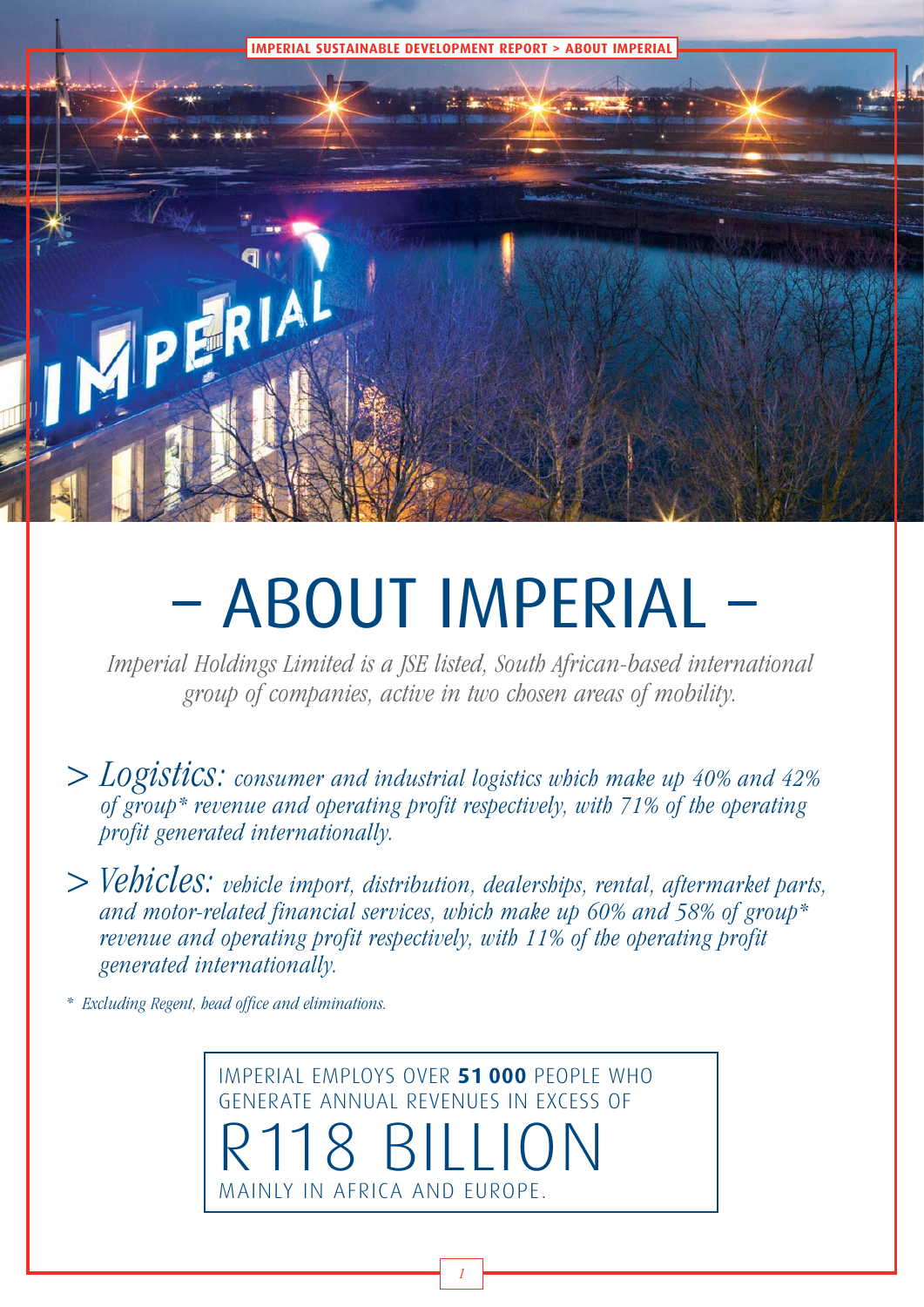

al Holdings Limited is a JSE listed, South African-based interna<br>Prout of companies, active in two chosen areas of mobility Imperial Holdings Limited is a JSE listed, South African-based international group of companies, active in two chosen areas of mobility.

- $>$  LOgistics: consumer and industrial logistics which make up 40% and 42% of group\* revenue and operating profit respectively, with 71% of the operating profit generated internationally.
- > Vehicles: vehicle import, distribution, dealerships, rental, aftermarket parts, and motor-related financial services, which make up 60% and 58% of group\* revenue and operating profit respectively, with 11% of the operating profit generated internationally.

\* Excluding Regent, head office and eliminations.

IMPERIAL EMPLOYS OVER **51 000** PEOPLE WHO GENERATE ANNUAL REVENUES IN EXCESS OF R118 BILLION MAINLY IN AFRICA AND EUROPE.

1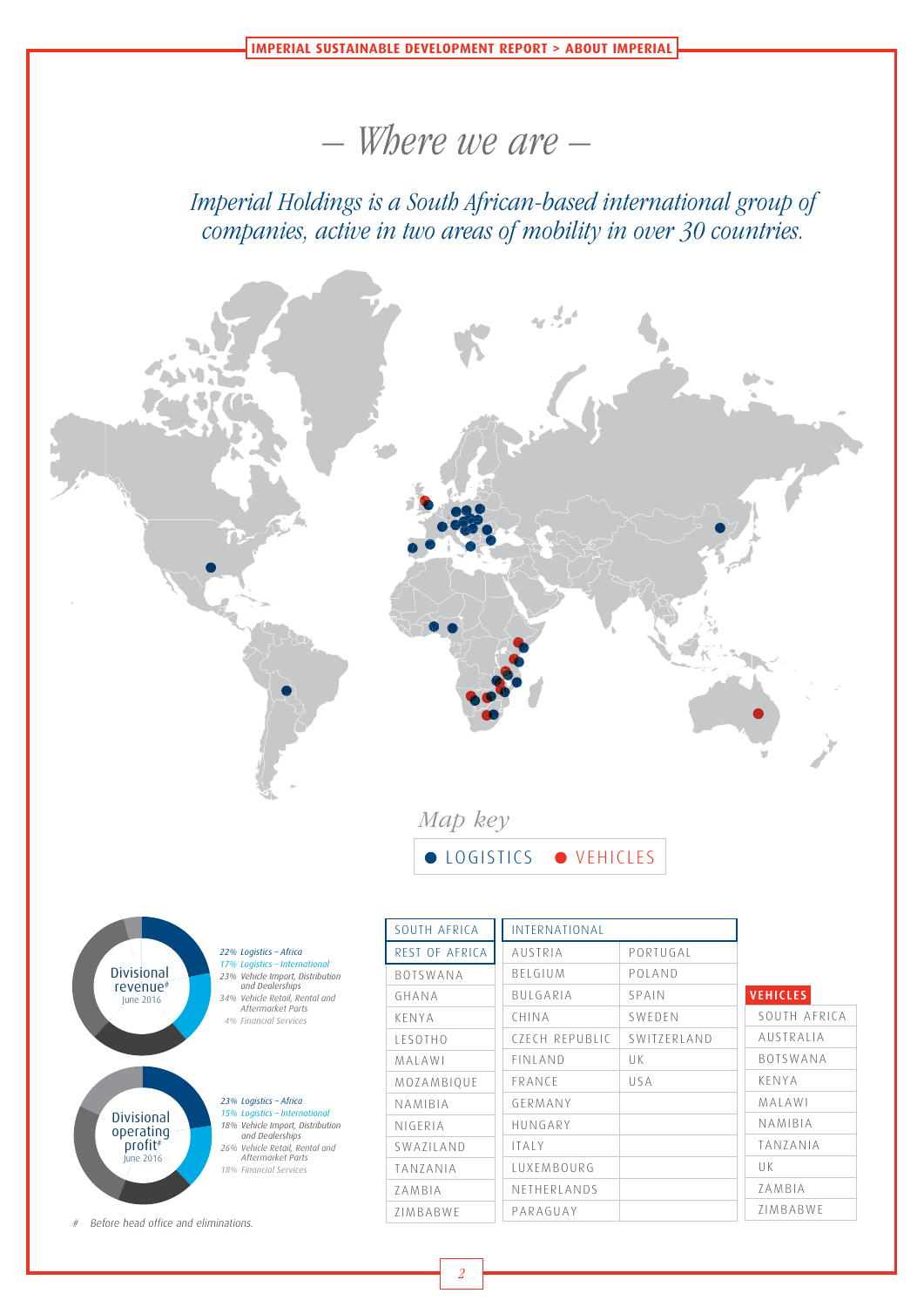## – Where we are –

Imperial Holdings is a South African-based international group of companies, active in two areas of mobility in over 30 countries.



June 2016 *18% Financial Services*

# Before head office and eliminations.

LUXEMBOURG NETHERLANDS PARAGUAY

UK ZAMBIA ZIMBABWE

TANZANIA ZAMBIA ZIMBABWE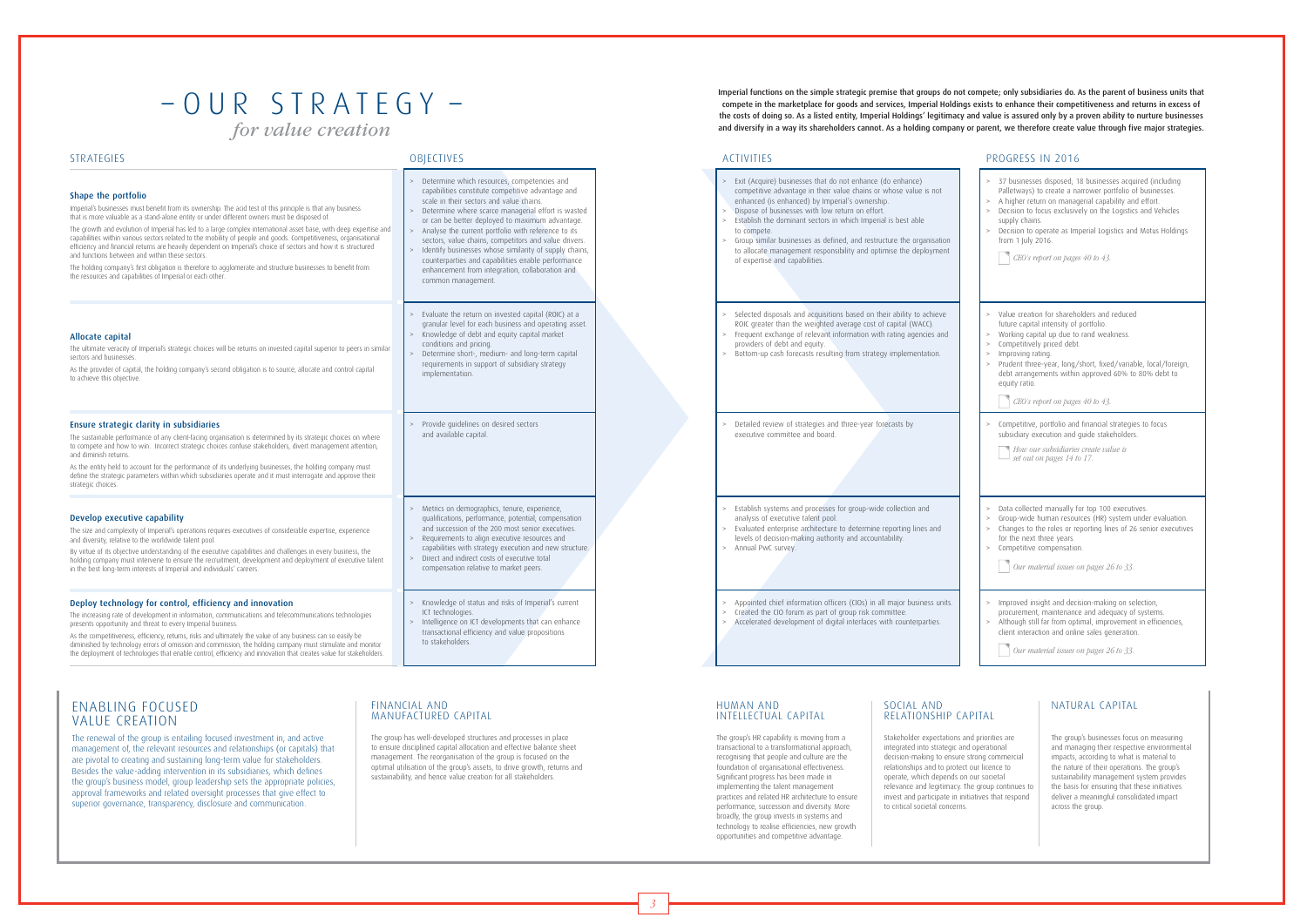3

Imperial functions on the simple strategic premise that groups do not compete; only subsidiaries do. As the parent of business units that compete in the marketplace for goods and services, Imperial Holdings exists to enhance their competitiveness and returns in excess of the costs of doing so. As a listed entity, Imperial Holdings' legitimacy and value is assured only by a proven ability to nurture businesses and diversify in a way its shareholders cannot. As a holding company or parent, we therefore create value through five major strategies.

## low return on effort. ors in which Imperial is best able defined, and restructure the organisation sponsibility and optimise the deployment of expertise and capabilities. isitions based on their ability to achieve hted average cost of capital (WACC). ant information with rating agencies and providers of debt and equity. ,<br>esulting from strategy implementation. es and three-year forecasts by bard. esses for group-wide collection and analysis of executive talent pool. cture to determine reporting lines and Ithority and accountability.

## $-$  O U R S T R A T E G Y  $$ *for value creation*

### ENABLING FOCUSED VALUE CREATION

### FINANCIAL AND MANUFACTURED CAPITAL

HUMAN AND INTELLECTUAL CAPITAL

### SOCIAL AND RELATIONSHIP CAPITAL

### NATURAL CAPITAL

The renewal of the group is entailing focused investment in, and active management of, the relevant resources and relationships (or capitals) that are pivotal to creating and sustaining long-term value for stakeholders. Besides the value-adding intervention in its subsidiaries, which defines the group's business model, group leadership sets the appropriate policies, approval frameworks and related oversight processes that give effect to superior governance, transparency, disclosure and communication.

The group has well-developed structures and processes in place to ensure disciplined capital allocation and effective balance sheet management. The reorganisation of the group is focused on the optimal utilisation of the group's assets, to drive growth, returns and sustainability, and hence value creation for all stakeholders.

The group's HR capability is moving from a transactional to a transformational approach, recognising that people and culture are the foundation of organisational effectiveness. Significant progress has been made in implementing the talent management practices and related HR architecture to ensure performance, succession and diversity. More broadly, the group invests in systems and technology to realise efficiencies, new growth opportunities and competitive advantage.

Stakeholder expectations and priorities are integrated into strategic and operational decision-making to ensure strong commercial relationships and to protect our licence to operate, which depends on our societal relevance and legitimacy. The group continues to invest and participate in initiatives that respond to critical societal concerns.

The group's businesses focus on measuring and managing their respective environmental impacts, according to what is material to the nature of their operations. The group's sustainability management system provides the basis for ensuring that these initiatives deliver a meaningful consolidated impact across the group.

### STRATEGIES OBJECTIVES ACTIVITIES PROGRESS IN 2016

| Shape the portfolio<br>Imperial's businesses must benefit from its ownership. The acid test of this principle is that any business<br>that is more valuable as a stand-alone entity or under different owners must be disposed of.<br>The growth and evolution of Imperial has led to a large complex international asset base, with deep expertise and<br>capabilities within various sectors related to the mobility of people and goods. Competitiveness, organisational<br>efficiency and financial returns are heavily dependent on Imperial's choice of sectors and how it is structured<br>and functions between and within these sectors.<br>The holding company's first obligation is therefore to agglomerate and structure businesses to benefit from<br>the resources and capabilities of Imperial or each other. | Determine which resources, competencies and<br>capabilities constitute competitive advantage and<br>scale in their sectors and value chains.<br>Determine where scarce managerial effort is wasted<br>or can be better deployed to maximum advantage.<br>> Analyse the current portfolio with reference to its<br>sectors, value chains, competitors and value drivers.<br>Identify businesses whose similarity of supply chains,<br>counterparties and capabilities enable performance<br>enhancement from integration, collaboration and<br>common management. | > Exit (Acquire) businesses that do not enhance (do enhance)<br>competitive advantage in their value chains or whose value is not<br>enhanced (is enhanced) by Imperial's ownership.<br>Dispose of businesses with low return on effort.<br>$\geq$<br>Establish the dominant sectors in which Imperial is best able<br>$\geq$<br>to compete.<br>Group similar businesses as defined, and restructure the organisation<br>to allocate management responsibility and optimise the deployment<br>of expertise and capabilities. |
|-------------------------------------------------------------------------------------------------------------------------------------------------------------------------------------------------------------------------------------------------------------------------------------------------------------------------------------------------------------------------------------------------------------------------------------------------------------------------------------------------------------------------------------------------------------------------------------------------------------------------------------------------------------------------------------------------------------------------------------------------------------------------------------------------------------------------------|------------------------------------------------------------------------------------------------------------------------------------------------------------------------------------------------------------------------------------------------------------------------------------------------------------------------------------------------------------------------------------------------------------------------------------------------------------------------------------------------------------------------------------------------------------------|------------------------------------------------------------------------------------------------------------------------------------------------------------------------------------------------------------------------------------------------------------------------------------------------------------------------------------------------------------------------------------------------------------------------------------------------------------------------------------------------------------------------------|
| Allocate capital<br>The ultimate veracity of Imperial's strategic choices will be returns on invested capital superior to peers in similar<br>sectors and businesses.<br>As the provider of capital, the holding company's second obligation is to source, allocate and control capital<br>to achieve this objective.                                                                                                                                                                                                                                                                                                                                                                                                                                                                                                         | Evaluate the return on invested capital (ROIC) at a<br>granular level for each business and operating asset.<br>> Knowledge of debt and equity capital market<br>conditions and pricing.<br>> Determine short-, medium- and long-term capital<br>requirements in support of subsidiary strategy<br>implementation.                                                                                                                                                                                                                                               | Selected disposals and acquisitions based on their ability to achieve<br>ROIC greater than the weighted average cost of capital (WACC).<br>Frequent exchange of relevant information with rating agencies and<br>><br>providers of debt and equity.<br>> Bottom-up cash forecasts resulting from strategy implementation.                                                                                                                                                                                                    |
| Ensure strategic clarity in subsidiaries<br>The sustainable performance of any client-facing organisation is determined by its strategic choices on where<br>to compete and how to win. Incorrect strategic choices confuse stakeholders, divert management attention,<br>and diminish returns.<br>As the entity held to account for the performance of its underlying businesses, the holding company must<br>define the strategic parameters within which subsidiaries operate and it must interrogate and approve their<br>strategic choices.                                                                                                                                                                                                                                                                              | Provide guidelines on desired sectors<br>and available capital.                                                                                                                                                                                                                                                                                                                                                                                                                                                                                                  | Detailed review of strategies and three-year forecasts by<br>executive committee and board.                                                                                                                                                                                                                                                                                                                                                                                                                                  |
| Develop executive capability<br>The size and complexity of Imperial's operations requires executives of considerable expertise, experience<br>and diversity, relative to the worldwide talent pool.<br>By virtue of its objective understanding of the executive capabilities and challenges in every business, the<br>holding company must intervene to ensure the recruitment, development and deployment of executive talent<br>in the best long-term interests of Imperial and individuals' careers.                                                                                                                                                                                                                                                                                                                      | Metrics on demographics, tenure, experience,<br>qualifications, performance, potential, compensation<br>and succession of the 200 most senior executives.<br>Requirements to align executive resources and<br>capabilities with strategy execution and new structure.<br>Direct and indirect costs of executive total<br>><br>compensation relative to market peers.                                                                                                                                                                                             | Establish systems and processes for group-wide collection and<br>$\geq$<br>analysis of executive talent pool.<br>Evaluated enterprise architecture to determine reporting lines and<br>$\geq$<br>levels of decision-making authority and accountability.<br>> Annual PwC survey.                                                                                                                                                                                                                                             |
| Deploy technology for control, efficiency and innovation<br>The increasing rate of development in information, communications and telecommunications technologies<br>presents opportunity and threat to every Imperial business.<br>As the competitiveness, efficiency, returns, risks and ultimately the value of any business can so easily be<br>diminished by technology errors of omission and commission, the holding company must stimulate and monitor<br>the deployment of technologies that enable control, efficiency and innovation that creates value for stakeholders.                                                                                                                                                                                                                                          | Knowledge of status and risks of Imperial's current<br>ICT technologies.<br>Intelligence on ICT developments that can enhance<br>transactional efficiency and value propositions<br>to stakeholders.                                                                                                                                                                                                                                                                                                                                                             | Appointed chief information officers (CIOs) in all major business units.<br>$\geq$<br>Created the CIO forum as part of group risk committee.<br>$\geq$<br>Accelerated development of digital interfaces with counterparties.<br>>                                                                                                                                                                                                                                                                                            |

| $\geq$<br>$\geq$<br>$\mathbf{r}$<br>$\geq$            | 37 businesses disposed; 18 businesses acquired (including<br>Palletways) to create a narrower portfolio of businesses.<br>A higher return on managerial capability and effort.<br>Decision to focus exclusively on the Logistics and Vehicles<br>supply chains.<br>Decision to operate as Imperial Logistics and Motus Holdings<br>from 1 July 2016.<br>CEO's report on pages 40 to 43. |
|-------------------------------------------------------|-----------------------------------------------------------------------------------------------------------------------------------------------------------------------------------------------------------------------------------------------------------------------------------------------------------------------------------------------------------------------------------------|
| $\mathbf{r}$<br>⇒<br>$\geq$<br>$\mathbf{r}$<br>$\geq$ | Value creation for shareholders and reduced<br>future capital intensity of portfolio.<br>Working capital up due to rand weakness.<br>Competitively priced debt.<br>Improving rating.<br>Prudent three-year, long/short, fixed/variable, local/foreign,<br>debt arrangements within approved 60% to 80% debt to<br>equity ratio.<br>$CEO's$ report on pages 40 to 43.                    |
| $\geq$                                                | Competitive, portfolio and financial strategies to focus<br>subsidiary execution and quide stakeholders.<br>How our subsidiaries create value is<br>set out on pages 14 to 17.                                                                                                                                                                                                          |
| $\geq$<br>$\mathbf{r}$<br>$\geq$<br>$\geq$            | Data collected manually for top 100 executives.<br>Group-wide human resources (HR) system under evaluation.<br>Changes to the roles or reporting lines of 26 senior executives<br>for the next three years.<br>Competitive compensation.<br>Our material issues on pages 26 to 33.                                                                                                      |
| $\geq$<br>$\geq$                                      | Improved insight and decision-making on selection,<br>procurement, maintenance and adequacy of systems.<br>Although still far from optimal, improvement in efficiencies,<br>client interaction and online sales generation.<br>Our material issues on pages 26 to 33.                                                                                                                   |
|                                                       |                                                                                                                                                                                                                                                                                                                                                                                         |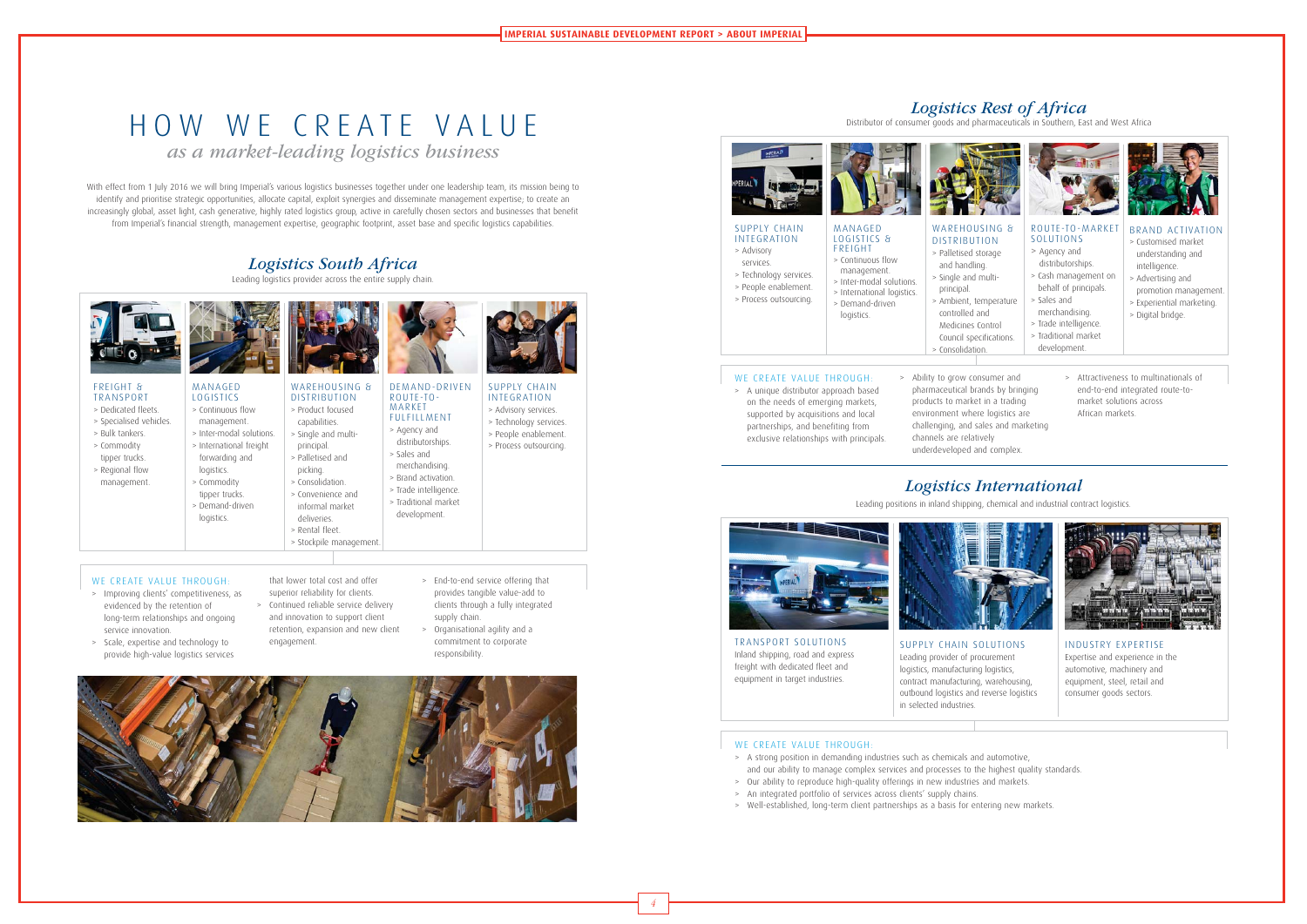4

With effect from 1 July 2016 we will bring Imperial's various logistics businesses together under one leadership team, its mission being to identify and prioritise strategic opportunities, allocate capital, exploit synergies and disseminate management expertise; to create an increasingly global, asset light, cash generative, highly rated logistics group, active in carefully chosen sectors and businesses that benefit from Imperial's financial strength, management expertise, geographic footprint, asset base and specific logistics capabilities.

# HOW WE CREATE VALUE

*as a market-leading logistics business*

## *Logistics South Africa*

Leading logistics provider across the entire supply chain.

### > Improving clients' competitiveness, as evidenced by the retention of

WE CREATE VALUE THROUGH:

- long-term relationships and ongoing service innovation.
- > Scale, expertise and technology to provide high-value logistics services
- that lower total cost and offer superior reliability for clients. > Continued reliable service delivery
- and innovation to support client retention, expansion and new client
- > End-to-end service offering that provides tangible value-add to clients through a fully integrated supply chain.
	- > Organisational agility and a commitment to corporate responsibility.



engagement.

### FREIGHT & TRANSPORT

- > Dedicated fleets.
- > Specialised vehicles.
- > Bulk tankers. > Commodity
- tipper trucks.
- > Regional flow management.



### MANAGED LOGISTICS > Continuous flow

- management. > Inter-modal solutions. > International freight
- forwarding and logistics.

logistics.



- WE CREATE VALUE THROUGH:
	- on the needs of emerging markets, supported by acquisitions and local partnerships, and benefiting from

DISTRIBUTION > Product focused capabilities. > Single and multiprincipal. > Palletised and picking. > Consolidation.



- > Commodity tipper trucks.
- > Demand-driven > Convenience and informal market
	- deliveries. > Rental fleet. > Stockpile management.

### DEMAND-DRIVEN ROUTE-TO-MARKET FULFILLMENT

### > Agency and distributorships. > Sales and

- merchandising. > Brand activation.
- 
- development.



- **FREIGHT** > Continuous flow management.
- > Technology services. > Inter-modal solutions.
- > People enablement. > Process outsourcing.
	- > Demand-driven logistics.

- 
- > Trade intelligence.
- > Traditional market





WARFHOUSING & DISTRIBUTION > Palletised storage

SUPPLY CHAIN INTEGRATION > Advisory services.

> Technology services. > People enablement.



### TRANSPORT SOLUTIONS Inland shipping, road and express freight with dedicated fleet and equipment in target industries.

SUPPLY CHAIN SOLUTIONS Leading provider of procurement logistics, manufacturing logistics, contract manufacturing, warehousing, outbound logistics and reverse logistics in selected industries.

### WE CREATE VALUE THROUGH:



INDUSTRY EXPERTISE Expertise and experience in the automotive, machinery and equipment, steel, retail and consumer goods sectors.

## *Logistics International*





Leading positions in inland shipping, chemical and industrial contract logistics.

- > A strong position in demanding industries such as chemicals and automotive, and our ability to manage complex services and processes to the highest quality standards.
- > Our ability to reproduce high-quality offerings in new industries and markets.
- > An integrated portfolio of services across clients' supply chains.
- > Well-established, long-term client partnerships as a basis for entering new markets.

## *Logistics Rest of Africa*

Distributor of consumer goods and pharmaceuticals in Southern, East and West Africa

- > A unique distributor approach based exclusive relationships with principals.
- > Ability to grow consumer and pharmaceutical brands by bringing products to market in a trading environment where logistics are challenging, and sales and marketing channels are relatively
- underdeveloped and complex.
- > Attractiveness to multinationals of end-to-end integrated route-tomarket solutions across African markets.



services.



### INTEGRATION > Advisory LOGISTICS &



> International logistics.

and handling.

> Single and multi-

principal.

> Ambient, temperature

- controlled and Medicines Control
	- Council specifications. > Consolidation.







- > Customised market understanding and intelligence.
- > Advertising and promotion management.
- > Experiential marketing.
- > Digital bridge.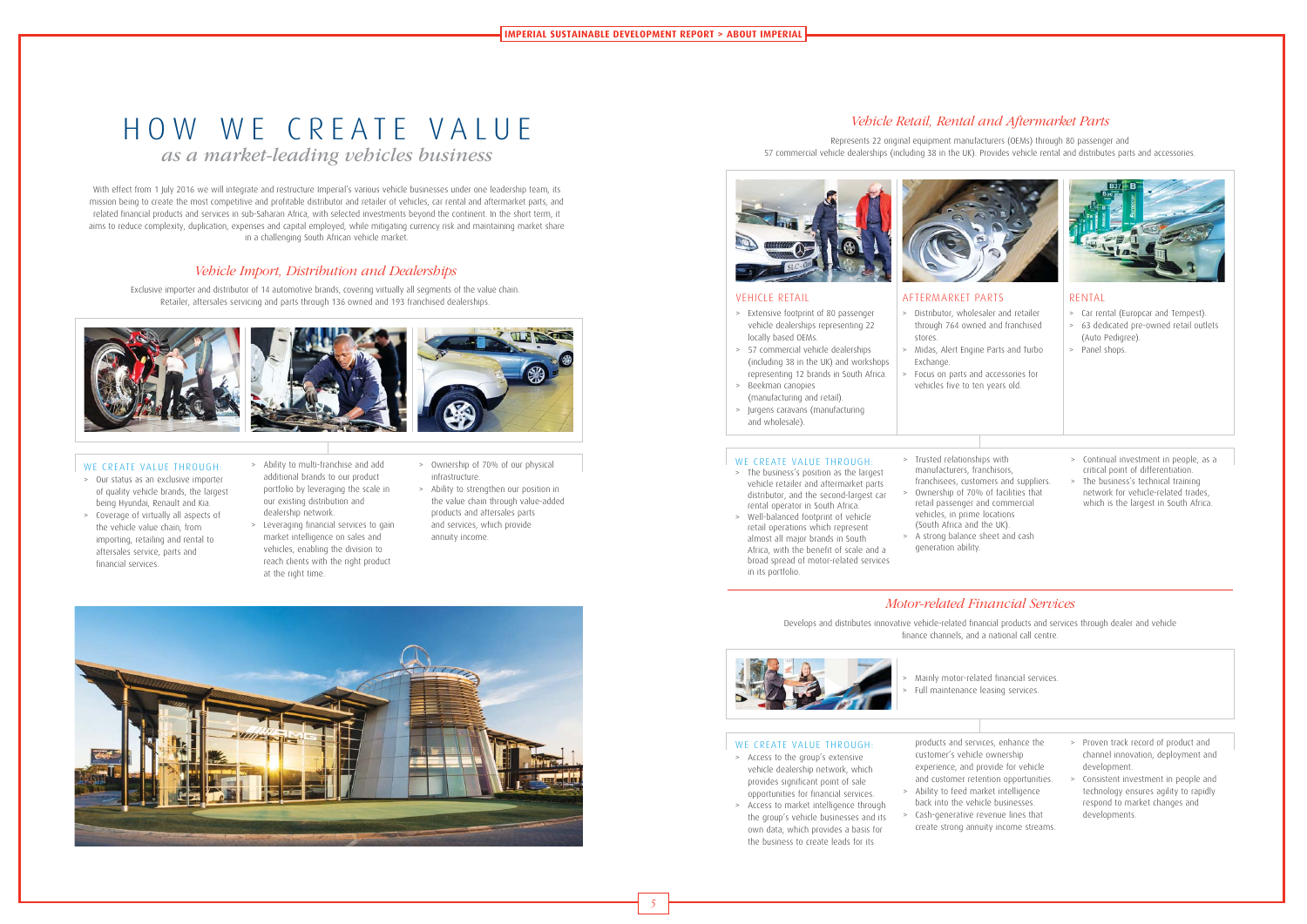With effect from 1 July 2016 we will integrate and restructure Imperial's various vehicle businesses under one leadership team, its mission being to create the most competitive and profitable distributor and retailer of vehicles, car rental and aftermarket parts, and related financial products and services in sub-Saharan Africa, with selected investments beyond the continent. In the short term, it aims to reduce complexity, duplication, expenses and capital employed, while mitigating currency risk and maintaining market share in a challenging South African vehicle market.

# HOW WE CREATE VALUE

*as a market-leading vehicles business* 

### Vehicle Import, Distribution and Dealerships

Exclusive importer and distributor of 14 automotive brands, covering virtually all segments of the value chain. Retailer, aftersales servicing and parts through 136 owned and 193 franchised dealerships.



### WE CREATE VALUE THROUGH:

- > Our status as an exclusive importer of quality vehicle brands, the largest being Hyundai, Renault and Kia. > Coverage of virtually all aspects of
- the vehicle value chain, from importing, retailing and rental to aftersales service, parts and financial services.
- > Ability to multi-franchise and add additional brands to our product portfolio by leveraging the scale in our existing distribution and dealership network.
- > Leveraging financial services to gain market intelligence on sales and vehicles, enabling the division to reach clients with the right product at the right time.
- > Ownership of 70% of our physical infrastructure.
- > Ability to strengthen our position in the value chain through value-added products and aftersales parts and services, which provide annuity income.



Focus on parts and accessories for vehicles five to ten years old.

## Motor-related Financial Services

Develops and distributes innovative vehicle-related financial products and services through dealer and vehicle finance channels, and a national call centre.





### WE CREATE VALUE THROUGH:

> Mainly motor-related financial services. Full maintenance leasing services.

### Vehicle Retail, Rental and Aftermarket Parts

Represents 22 original equipment manufacturers (OEMs) through 80 passenger and 57 commercial vehicle dealerships (including 38 in the UK). Provides vehicle rental and distributes parts and accessories.





### VEHICLE RETAIL

- > Extensive footprint of 80 passenger vehicle dealerships representing 22 locally based OEMs.
- > 57 commercial vehicle dealerships (including 38 in the UK) and workshops representing 12 brands in South Africa.
- > Beekman canopies
- (manufacturing and retail). > Jurgens caravans (manufacturing and wholesale).

### WE CREATE VALUE THROUGH:

AFTERMARKET PARTS > Distributor, wholesaler and retailer through 764 owned and franchised

stores.

> Midas, Alert Engine Parts and Turbo

Exchange.

### RENTAL

- > Car rental (Europcar and Tempest).
- > 63 dedicated pre-owned retail outlets (Auto Pedigree).
- > Panel shops.

- > The business's position as the largest vehicle retailer and aftermarket parts distributor, and the second-largest car rental operator in South Africa.
- > Well-balanced footprint of vehicle retail operations which represent almost all major brands in South Africa, with the benefit of scale and a broad spread of motor-related services in its portfolio.
- manufacturers, franchisors, franchisees, customers and suppliers. > Ownership of 70% of facilities that retail passenger and commercial vehicles, in prime locations (South Africa and the UK). > A strong balance sheet and cash generation ability.

> Trusted relationships with

> Continual investment in people, as a critical point of differentiation. > The business's technical training network for vehicle-related trades, which is the largest in South Africa.

- > Access to the group's extensive vehicle dealership network, which provides significant point of sale opportunities for financial services.
- > Access to market intelligence through the group's vehicle businesses and its own data, which provides a basis for the business to create leads for its
- customer's vehicle ownership experience, and provide for vehicle and customer retention opportunities. > Ability to feed market intelligence
- > Cash-generative revenue lines that create strong annuity income streams.

products and services, enhance the back into the vehicle businesses.

> Proven track record of product and

channel innovation, deployment and development. > Consistent investment in people and technology ensures agility to rapidly

respond to market changes and

developments.

5